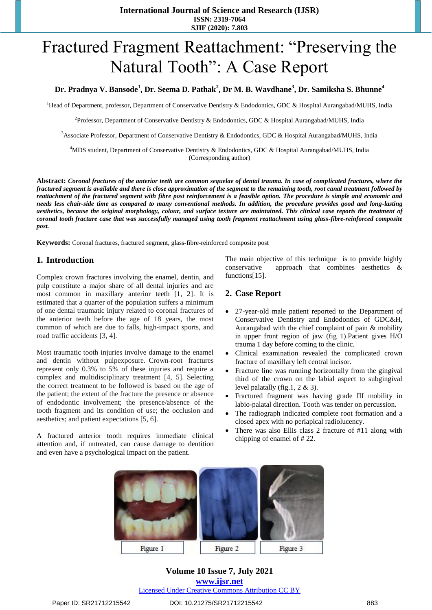# Fractured Fragment Reattachment: "Preserving the Natural Tooth": A Case Report

#### **Dr. Pradnya V. Bansode<sup>1</sup> , Dr. Seema D. Pathak<sup>2</sup> , Dr M. B. Wavdhane<sup>3</sup> , Dr. Samiksha S. Bhunne<sup>4</sup>**

<sup>1</sup>Head of Department, professor, Department of Conservative Dentistry & Endodontics, GDC & Hospital Aurangabad/MUHS, India

<sup>2</sup> Professor, Department of Conservative Dentistry & Endodontics, GDC & Hospital Aurangabad/MUHS, India

<sup>3</sup>Associate Professor, Department of Conservative Dentistry & Endodontics, GDC & Hospital Aurangabad/MUHS, India

<sup>4</sup>MDS student, Department of Conservative Dentistry & Endodontics, GDC & Hospital Aurangabad/MUHS, India (Corresponding author)

**Abstract:** *Coronal fractures of the anterior teeth are common sequelae of dental trauma. In case of complicated fractures, where the fractured segment is available and there is close approximation of the segment to the remaining tooth, root canal treatment followed by reattachment of the fractured segment with fibre post reinforcement is a feasible option. The procedure is simple and economic and needs less chair-side time as compared to many conventional methods. In addition, the procedure provides good and long-lasting aesthetics, because the original morphology, colour, and surface texture are maintained. This clinical case reports the treatment of coronal tooth fracture case that was successfully managed using tooth fragment reattachment using glass-fibre-reinforced composite post.*

**Keywords:** Coronal fractures, fractured segment, glass-fibre-reinforced composite post

#### **1. Introduction**

Complex crown fractures involving the enamel, dentin, and pulp constitute a major share of all dental injuries and are most common in maxillary anterior teeth [1, 2]. It is estimated that a quarter of the population suffers a minimum of one dental traumatic injury related to coronal fractures of the anterior teeth before the age of 18 years, the most common of which are due to falls, high-impact sports, and road traffic accidents [3, 4].

Most traumatic tooth injuries involve damage to the enamel and dentin without pulpexposure. Crown-root fractures represent only 0.3% to 5% of these injuries and require a complex and multidisciplinary treatment [4, 5]. Selecting the correct treatment to be followed is based on the age of the patient; the extent of the fracture the presence or absence of endodontic involvement; the presence/absence of the tooth fragment and its condition of use; the occlusion and aesthetics; and patient expectations [5, 6].

A fractured anterior tooth requires immediate clinical attention and, if untreated, can cause damage to dentition and even have a psychological impact on the patient.

The main objective of this technique is to provide highly conservative approach that combines aesthetics & functions[15].

#### **2. Case Report**

- 27-year-old male patient reported to the Department of Conservative Dentistry and Endodontics of GDC&H, Aurangabad with the chief complaint of pain & mobility in upper front region of jaw (fig 1).Patient gives H/O trauma 1 day before coming to the clinic.
- Clinical examination revealed the complicated crown fracture of maxillary left central incisor.
- Fracture line was running horizontally from the gingival third of the crown on the labial aspect to subgingival level palatally (fig.1, 2 & 3).
- Fractured fragment was having grade III mobility in labio-palatal direction. Tooth was tender on percussion.
- The radiograph indicated complete root formation and a closed apex with no periapical radiolucency.
- There was also Ellis class 2 fracture of #11 along with chipping of enamel of # 22.



**Volume 10 Issue 7, July 2021 www.ijsr.net** Licensed Under Creative Commons Attribution CC BY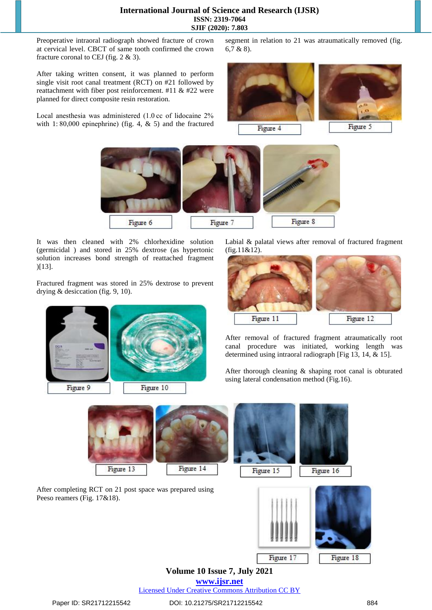Preoperative intraoral radiograph showed fracture of crown at cervical level. CBCT of same tooth confirmed the crown fracture coronal to CEJ (fig. 2 & 3).

After taking written consent, it was planned to perform single visit root canal treatment (RCT) on #21 followed by reattachment with fiber post reinforcement. #11 & #22 were planned for direct composite resin restoration.

Local anesthesia was administered (1.0 cc of lidocaine 2% with 1:80,000 epinephrine) (fig. 4,  $\&$  5) and the fractured segment in relation to 21 was atraumatically removed (fig. 6,7 & 8).





It was then cleaned with 2% chlorhexidine solution (germicidal ) and stored in 25% dextrose (as hypertonic solution increases bond strength of reattached fragment )[13].

Fractured fragment was stored in 25% dextrose to prevent drying & desiccation (fig. 9, 10).



Labial & palatal views after removal of fractured fragment (fig.11&12).



After removal of fractured fragment atraumatically root canal procedure was initiated, working length was determined using intraoral radiograph [Fig 13, 14, & 15].

After thorough cleaning & shaping root canal is obturated using lateral condensation method (Fig.16).



**Volume 10 Issue 7, July 2021**

**www.ijsr.net**

Licensed Under Creative Commons Attribution CC BY

Figure 17

Figure 18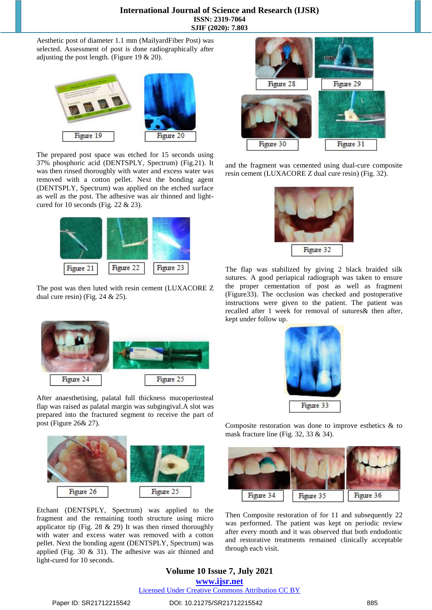#### **International Journal of Science and Research (IJSR) ISSN: 2319-7064 SJIF (2020): 7.803**

Aesthetic post of diameter 1.1 mm (MailyardFiber Post) was selected. Assessment of post is done radiographically after adjusting the post length. (Figure 19 & 20).



The prepared post space was etched for 15 seconds using 37% phosphoric acid (DENTSPLY, Spectrum) (Fig.21). It was then rinsed thoroughly with water and excess water was removed with a cotton pellet. Next the bonding agent (DENTSPLY, Spectrum) was applied on the etched surface as well as the post. The adhesive was air thinned and lightcured for 10 seconds (Fig. 22  $& 23$ ).



The post was then luted with resin cement (LUXACORE Z dual cure resin) (Fig. 24 & 25).



After anaesthetising, palatal full thickness mucoperiosteal flap was raised as palatal margin was subgingival.A slot was prepared into the fractured segment to receive the part of post (Figure 26& 27).



Etchant (DENTSPLY, Spectrum) was applied to the fragment and the remaining tooth structure using micro applicator tip (Fig. 28  $\&$  29) It was then rinsed thoroughly with water and excess water was removed with a cotton pellet. Next the bonding agent (DENTSPLY, Spectrum) was applied (Fig. 30 & 31). The adhesive was air thinned and light-cured for 10 seconds.



and the fragment was cemented using dual-cure composite resin cement (LUXACORE Z dual cure resin) (Fig. 32).



The flap was stabilized by giving 2 black braided silk sutures. A good periapical radiograph was taken to ensure the proper cementation of post as well as fragment (Figure33). The occlusion was checked and postoperative instructions were given to the patient. The patient was recalled after 1 week for removal of sutures& then after, kept under follow up.



Composite restoration was done to improve esthetics & to mask fracture line (Fig. 32, 33 & 34).



Then Composite restoration of for 11 and subsequently 22 was performed. The patient was kept on periodic review after every month and it was observed that both endodontic and restorative treatments remained clinically acceptable through each visit.

# **Volume 10 Issue 7, July 2021**

**www.ijsr.net**

Licensed Under Creative Commons Attribution CC BY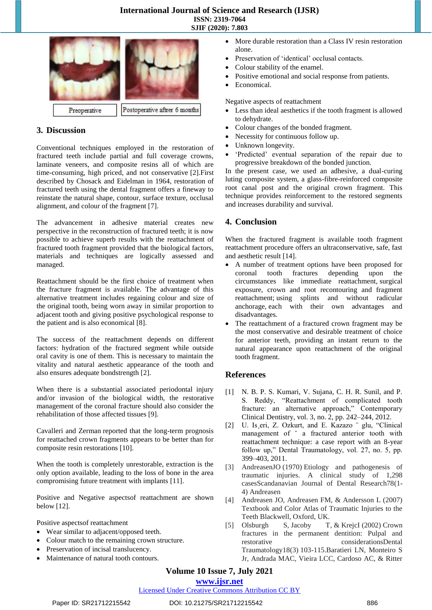#### **International Journal of Science and Research (IJSR) ISSN: 2319-7064 SJIF (2020): 7.803**



## **3. Discussion**

Conventional techniques employed in the restoration of fractured teeth include partial and full coverage crowns, laminate veneers, and composite resins all of which are time-consuming, high priced, and not conservative [2].First described by Chosack and Eidelman in 1964, restoration of fractured teeth using the dental fragment offers a fineway to reinstate the natural shape, contour, surface texture, occlusal alignment, and colour of the fragment [7].

The advancement in adhesive material creates new perspective in the reconstruction of fractured teeth; it is now possible to achieve superb results with the reattachment of fractured tooth fragment provided that the biological factors, materials and techniques are logically assessed and managed.

Reattachment should be the first choice of treatment when the fracture fragment is available. The advantage of this alternative treatment includes regaining colour and size of the original tooth, being worn away in similar proportion to adjacent tooth and giving positive psychological response to the patient and is also economical [8].

The success of the reattachment depends on different factors: hydration of the fractured segment while outside oral cavity is one of them. This is necessary to maintain the vitality and natural aesthetic appearance of the tooth and also ensures adequate bondstrength [2].

When there is a substantial associated periodontal injury and/or invasion of the biological width, the restorative management of the coronal fracture should also consider the rehabilitation of those affected tissues [9].

Cavalleri and Zerman reported that the long-term prognosis for reattached crown fragments appears to be better than for composite resin restorations [10].

When the tooth is completely unrestorable, extraction is the only option available, leading to the loss of bone in the area compromising future treatment with implants [11].

Positive and Negative aspectsof reattachment are shown below [12].

Positive aspectsof reattachment

- Wear similar to adjacent/opposed teeth.
- Colour match to the remaining crown structure.
- Preservation of incisal translucency.
- Maintenance of natural tooth contours.
- More durable restoration than a Class IV resin restoration alone.
- Preservation of 'identical' occlusal contacts.
- Colour stability of the enamel.
- Positive emotional and social response from patients.
- Economical.

Negative aspects of reattachment

- Less than ideal aesthetics if the tooth fragment is allowed to dehydrate.
- Colour changes of the bonded fragment.
- Necessity for continuous follow up.
- Unknown longevity.
- ‗Predicted' eventual separation of the repair due to progressive breakdown of the bonded junction.

In the present case, we used an adhesive, a dual-curing luting composite system, a glass-fibre-reinforced composite root canal post and the original crown fragment. This technique provides reinforcement to the restored segments and increases durability and survival.

## **4. Conclusion**

When the fractured fragment is available tooth fragment reattachment procedure offers an ultraconservative, safe, fast and aesthetic result [14].

- A number of treatment options have been proposed for coronal tooth fractures depending circumstances like immediate reattachment, surgical exposure, crown and root recontouring and fragment reattachment; using splints and without radicular anchorage, each with their own advantages and disadvantages.
- The reattachment of a fractured crown fragment may be the most conservative and desirable treatment of choice for anterior teeth, providing an instant return to the natural appearance upon reattachment of the original tooth fragment.

#### **References**

- [1] N. B. P. S. Kumari, V. Sujana, C. H. R. Sunil, and P. S. Reddy, "Reattachment of complicated tooth fracture: an alternative approach," Contemporary Clinical Dentistry, vol. 3, no. 2, pp. 242–244, 2012.
- [2] U. Is eri, Z. Ozkurt, and E. Kazazo " glu, "Clinical management of ˇ a fractured anterior tooth with reattachment technique: a case report with an 8-year follow up," Dental Traumatology, vol.  $27$ , no. 5, pp. 399–403, 2011.
- [3] AndreasenJO (1970) Etiology and pathogenesis of traumatic injuries. A clinical study of 1,298 casesScandanavian Journal of Dental Research78(1- 4) Andreasen
- [4] Andreasen JO, Andreasen FM, & Andersson L (2007) Textbook and Color Atlas of Traumatic Injuries to the Teeth Blackwell, Oxford, UK.
- [5] Olsburgh S, Jacoby T, & KrejcI (2002) Crown fractures in the permanent dentition: Pulpal and restorative considerationsDental Traumatology18(3) 103-115.Baratieri LN, Monteiro S Jr, Andrada MAC, Vieira LCC, Cardoso AC, & Ritter

# **Volume 10 Issue 7, July 2021**

### **www.ijsr.net**

Licensed Under Creative Commons Attribution CC BY